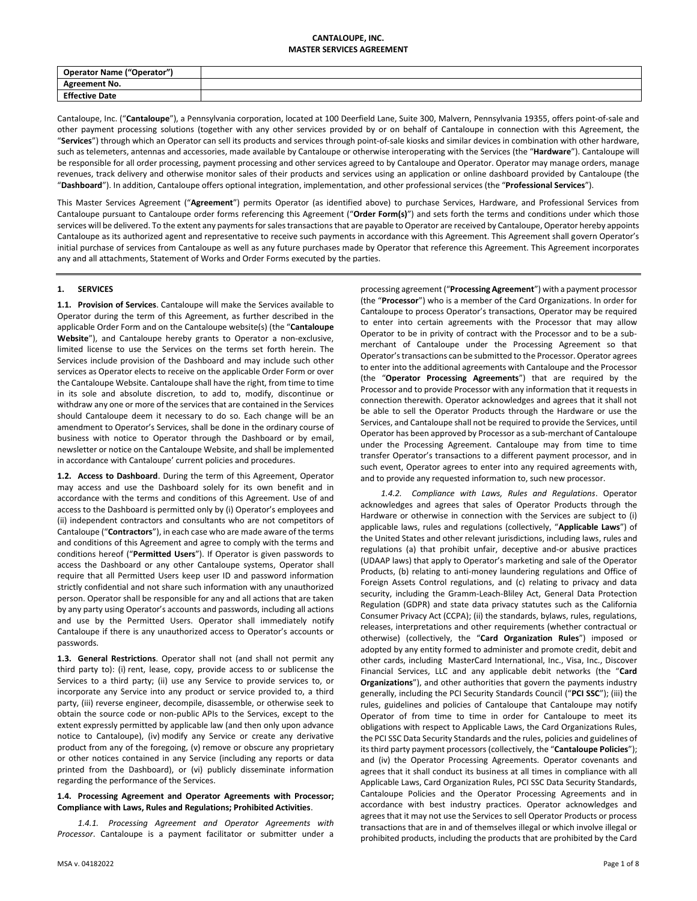## **CANTALOUPE, INC. MASTER SERVICES AGREEMENT**

| <b>Operator Name ("Operator")</b> |  |
|-----------------------------------|--|
| <b>Agreement No.</b>              |  |
| <b>Effective Date</b>             |  |

Cantaloupe, Inc. ("**Cantaloupe**"), a Pennsylvania corporation, located at 100 Deerfield Lane, Suite 300, Malvern, Pennsylvania 19355, offers point-of-sale and other payment processing solutions (together with any other services provided by or on behalf of Cantaloupe in connection with this Agreement, the "**Services**") through which an Operator can sell its products and services through point-of-sale kiosks and similar devices in combination with other hardware, such as telemeters, antennas and accessories, made available by Cantaloupe or otherwise interoperating with the Services (the "**Hardware**"). Cantaloupe will be responsible for all order processing, payment processing and other services agreed to by Cantaloupe and Operator. Operator may manage orders, manage revenues, track delivery and otherwise monitor sales of their products and services using an application or online dashboard provided by Cantaloupe (the "**Dashboard**"). In addition, Cantaloupe offers optional integration, implementation, and other professional services (the "**Professional Services**").

This Master Services Agreement ("**Agreement**") permits Operator (as identified above) to purchase Services, Hardware, and Professional Services from Cantaloupe pursuant to Cantaloupe order forms referencing this Agreement ("**Order Form(s)**") and sets forth the terms and conditions under which those services will be delivered. To the extent any payments for sales transactions that are payable to Operator are received by Cantaloupe, Operator hereby appoints Cantaloupe as its authorized agent and representative to receive such payments in accordance with this Agreement. This Agreement shall govern Operator's initial purchase of services from Cantaloupe as well as any future purchases made by Operator that reference this Agreement. This Agreement incorporates any and all attachments, Statement of Works and Order Forms executed by the parties.

# **1. SERVICES**

**1.1. Provision of Services**. Cantaloupe will make the Services available to Operator during the term of this Agreement, as further described in the applicable Order Form and on the Cantaloupe website(s) (the "**Cantaloupe Website**"), and Cantaloupe hereby grants to Operator a non-exclusive, limited license to use the Services on the terms set forth herein. The Services include provision of the Dashboard and may include such other services as Operator elects to receive on the applicable Order Form or over the Cantaloupe Website. Cantaloupe shall have the right, from time to time in its sole and absolute discretion, to add to, modify, discontinue or withdraw any one or more of the services that are contained in the Services should Cantaloupe deem it necessary to do so. Each change will be an amendment to Operator's Services, shall be done in the ordinary course of business with notice to Operator through the Dashboard or by email, newsletter or notice on the Cantaloupe Website, and shall be implemented in accordance with Cantaloupe' current policies and procedures.

**1.2. Access to Dashboard**. During the term of this Agreement, Operator may access and use the Dashboard solely for its own benefit and in accordance with the terms and conditions of this Agreement. Use of and access to the Dashboard is permitted only by (i) Operator's employees and (ii) independent contractors and consultants who are not competitors of Cantaloupe ("**Contractors**"), in each case who are made aware of the terms and conditions of this Agreement and agree to comply with the terms and conditions hereof ("**Permitted Users**"). If Operator is given passwords to access the Dashboard or any other Cantaloupe systems, Operator shall require that all Permitted Users keep user ID and password information strictly confidential and not share such information with any unauthorized person. Operator shall be responsible for any and all actions that are taken by any party using Operator's accounts and passwords, including all actions and use by the Permitted Users. Operator shall immediately notify Cantaloupe if there is any unauthorized access to Operator's accounts or passwords.

<span id="page-0-0"></span>**1.3. General Restrictions**. Operator shall not (and shall not permit any third party to): (i) rent, lease, copy, provide access to or sublicense the Services to a third party; (ii) use any Service to provide services to, or incorporate any Service into any product or service provided to, a third party, (iii) reverse engineer, decompile, disassemble, or otherwise seek to obtain the source code or non-public APIs to the Services, except to the extent expressly permitted by applicable law (and then only upon advance notice to Cantaloupe), (iv) modify any Service or create any derivative product from any of the foregoing, (v) remove or obscure any proprietary or other notices contained in any Service (including any reports or data printed from the Dashboard), or (vi) publicly disseminate information regarding the performance of the Services.

## <span id="page-0-1"></span>**1.4. Processing Agreement and Operator Agreements with Processor; Compliance with Laws, Rules and Regulations; Prohibited Activities**.

*1.4.1. Processing Agreement and Operator Agreements with Processor*. Cantaloupe is a payment facilitator or submitter under a processing agreement ("**Processing Agreement**") with a payment processor (the "**Processor**") who is a member of the Card Organizations. In order for Cantaloupe to process Operator's transactions, Operator may be required to enter into certain agreements with the Processor that may allow Operator to be in privity of contract with the Processor and to be a submerchant of Cantaloupe under the Processing Agreement so that Operator's transactions can be submitted to the Processor. Operator agrees to enter into the additional agreements with Cantaloupe and the Processor (the "**Operator Processing Agreements**") that are required by the Processor and to provide Processor with any information that it requests in connection therewith. Operator acknowledges and agrees that it shall not be able to sell the Operator Products through the Hardware or use the Services, and Cantaloupe shall not be required to provide the Services, until Operator has been approved by Processor as a sub-merchant of Cantaloupe under the Processing Agreement. Cantaloupe may from time to time transfer Operator's transactions to a different payment processor, and in such event, Operator agrees to enter into any required agreements with, and to provide any requested information to, such new processor.

*1.4.2. Compliance with Laws, Rules and Regulations*. Operator acknowledges and agrees that sales of Operator Products through the Hardware or otherwise in connection with the Services are subject to (i) applicable laws, rules and regulations (collectively, "**Applicable Laws**") of the United States and other relevant jurisdictions, including laws, rules and regulations (a) that prohibit unfair, deceptive and-or abusive practices (UDAAP laws) that apply to Operator's marketing and sale of the Operator Products, (b) relating to anti-money laundering regulations and Office of Foreign Assets Control regulations, and (c) relating to privacy and data security, including the Gramm-Leach-Bliley Act, General Data Protection Regulation (GDPR) and state data privacy statutes such as the California Consumer Privacy Act (CCPA); (ii) the standards, bylaws, rules, regulations, releases, interpretations and other requirements (whether contractual or otherwise) (collectively, the "**Card Organization Rules**") imposed or adopted by any entity formed to administer and promote credit, debit and other cards, including MasterCard International, Inc., Visa, Inc., Discover Financial Services, LLC and any applicable debit networks (the "**Card Organizations**"), and other authorities that govern the payments industry generally, including the PCI Security Standards Council ("**PCI SSC**"); (iii) the rules, guidelines and policies of Cantaloupe that Cantaloupe may notify Operator of from time to time in order for Cantaloupe to meet its obligations with respect to Applicable Laws, the Card Organizations Rules, the PCI SSC Data Security Standards and the rules, policies and guidelines of its third party payment processors (collectively, the "**Cantaloupe Policies**"); and (iv) the Operator Processing Agreements. Operator covenants and agrees that it shall conduct its business at all times in compliance with all Applicable Laws, Card Organization Rules, PCI SSC Data Security Standards, Cantaloupe Policies and the Operator Processing Agreements and in accordance with best industry practices. Operator acknowledges and agrees that it may not use the Services to sell Operator Products or process transactions that are in and of themselves illegal or which involve illegal or prohibited products, including the products that are prohibited by the Card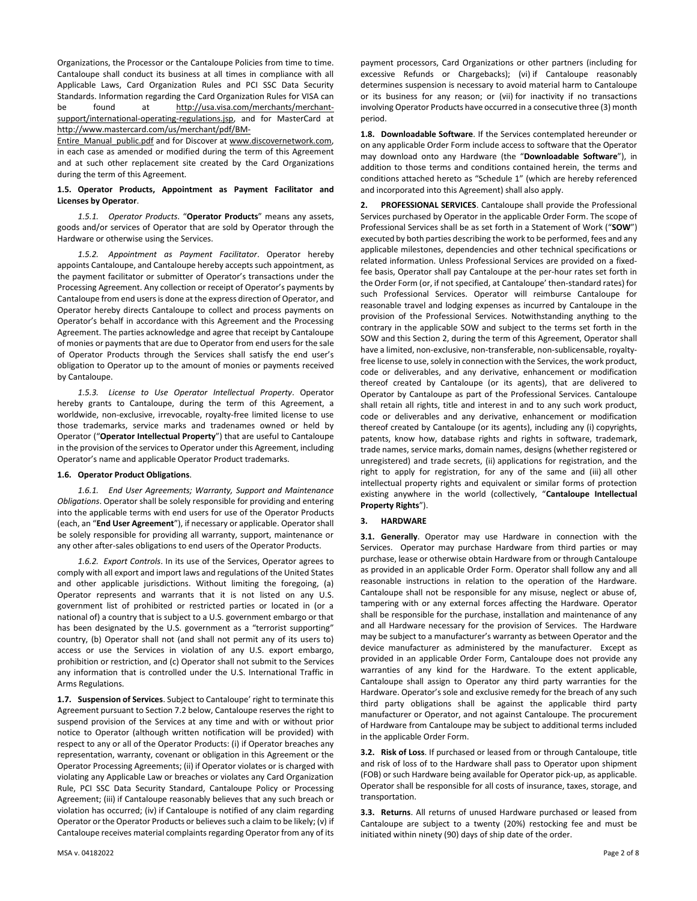Organizations, the Processor or the Cantaloupe Policies from time to time. Cantaloupe shall conduct its business at all times in compliance with all Applicable Laws, Card Organization Rules and PCI SSC Data Security Standards. Information regarding the Card Organization Rules for VISA can be found at http://usa.visa.com/merchants/merchantsupport/international-operating-regulations.jsp, and for MasterCard at http://www.mastercard.com/us/merchant/pdf/BM-

Entire\_Manual\_public.pdf and for Discover at www.discovernetwork.com, in each case as amended or modified during the term of this Agreement and at such other replacement site created by the Card Organizations during the term of this Agreement.

# **1.5. Operator Products, Appointment as Payment Facilitator and Licenses by Operator**.

*1.5.1. Operator Products*. "**Operator Products**" means any assets, goods and/or services of Operator that are sold by Operator through the Hardware or otherwise using the Services.

*1.5.2. Appointment as Payment Facilitator*. Operator hereby appoints Cantaloupe, and Cantaloupe hereby accepts such appointment, as the payment facilitator or submitter of Operator's transactions under the Processing Agreement. Any collection or receipt of Operator's payments by Cantaloupe from end users is done at the express direction of Operator, and Operator hereby directs Cantaloupe to collect and process payments on Operator's behalf in accordance with this Agreement and the Processing Agreement. The parties acknowledge and agree that receipt by Cantaloupe of monies or payments that are due to Operator from end users for the sale of Operator Products through the Services shall satisfy the end user's obligation to Operator up to the amount of monies or payments received by Cantaloupe.

*1.5.3. License to Use Operator Intellectual Property*. Operator hereby grants to Cantaloupe, during the term of this Agreement, a worldwide, non-exclusive, irrevocable, royalty-free limited license to use those trademarks, service marks and tradenames owned or held by Operator ("**Operator Intellectual Property**") that are useful to Cantaloupe in the provision of the services to Operator under this Agreement, including Operator's name and applicable Operator Product trademarks.

## **1.6. Operator Product Obligations**.

*1.6.1. End User Agreements; Warranty, Support and Maintenance Obligations*. Operator shall be solely responsible for providing and entering into the applicable terms with end users for use of the Operator Products (each, an "**End User Agreement**"), if necessary or applicable. Operatorshall be solely responsible for providing all warranty, support, maintenance or any other after-sales obligations to end users of the Operator Products.

*1.6.2. Export Controls*. In its use of the Services, Operator agrees to comply with all export and import laws and regulations of the United States and other applicable jurisdictions. Without limiting the foregoing, (a) Operator represents and warrants that it is not listed on any U.S. government list of prohibited or restricted parties or located in (or a national of) a country that is subject to a U.S. government embargo or that has been designated by the U.S. government as a "terrorist supporting" country, (b) Operator shall not (and shall not permit any of its users to) access or use the Services in violation of any U.S. export embargo, prohibition or restriction, and (c) Operator shall not submit to the Services any information that is controlled under the U.S. International Traffic in Arms Regulations.

**1.7. Suspension of Services**. Subject to Cantaloupe' right to terminate this Agreement pursuant to Sectio[n 7.2](#page-3-0) below, Cantaloupe reserves the right to suspend provision of the Services at any time and with or without prior notice to Operator (although written notification will be provided) with respect to any or all of the Operator Products: (i) if Operator breaches any representation, warranty, covenant or obligation in this Agreement or the Operator Processing Agreements; (ii) if Operator violates or is charged with violating any Applicable Law or breaches or violates any Card Organization Rule, PCI SSC Data Security Standard, Cantaloupe Policy or Processing Agreement; (iii) if Cantaloupe reasonably believes that any such breach or violation has occurred; (iv) if Cantaloupe is notified of any claim regarding Operator or the Operator Products or believes such a claim to be likely; (v) if Cantaloupe receives material complaints regarding Operator from any of its payment processors, Card Organizations or other partners (including for excessive Refunds or Chargebacks); (vi) if Cantaloupe reasonably determines suspension is necessary to avoid material harm to Cantaloupe or its business for any reason; or (vii) for inactivity if no transactions involving Operator Products have occurred in a consecutive three (3) month period.

**1.8. Downloadable Software**. If the Services contemplated hereunder or on any applicable Order Form include access to software that the Operator may download onto any Hardware (the "**Downloadable Software**"), in addition to those terms and conditions contained herein, the terms and conditions attached hereto as "Schedule 1" (which are hereby referenced and incorporated into this Agreement) shall also apply.

<span id="page-1-0"></span>**2. PROFESSIONAL SERVICES**. Cantaloupe shall provide the Professional Services purchased by Operator in the applicable Order Form. The scope of Professional Services shall be as set forth in a Statement of Work ("**SOW**") executed by both parties describing the work to be performed, fees and any applicable milestones, dependencies and other technical specifications or related information. Unless Professional Services are provided on a fixedfee basis, Operator shall pay Cantaloupe at the per-hour rates set forth in the Order Form (or, if not specified, at Cantaloupe' then-standard rates) for such Professional Services. Operator will reimburse Cantaloupe for reasonable travel and lodging expenses as incurred by Cantaloupe in the provision of the Professional Services. Notwithstanding anything to the contrary in the applicable SOW and subject to the terms set forth in the SOW and this Section [2,](#page-1-0) during the term of this Agreement, Operator shall have a limited, non-exclusive, non-transferable, non-sublicensable, royaltyfree license to use, solely in connection with the Services, the work product, code or deliverables, and any derivative, enhancement or modification thereof created by Cantaloupe (or its agents), that are delivered to Operator by Cantaloupe as part of the Professional Services. Cantaloupe shall retain all rights, title and interest in and to any such work product, code or deliverables and any derivative, enhancement or modification thereof created by Cantaloupe (or its agents), including any (i) copyrights, patents, know how, database rights and rights in software, trademark, trade names, service marks, domain names, designs (whether registered or unregistered) and trade secrets, (ii) applications for registration, and the right to apply for registration, for any of the same and (iii) all other intellectual property rights and equivalent or similar forms of protection existing anywhere in the world (collectively, "**Cantaloupe Intellectual Property Rights**").

# **3. HARDWARE**

**3.1. Generally**. Operator may use Hardware in connection with the Services. Operator may purchase Hardware from third parties or may purchase, lease or otherwise obtain Hardware from or through Cantaloupe as provided in an applicable Order Form. Operator shall follow any and all reasonable instructions in relation to the operation of the Hardware. Cantaloupe shall not be responsible for any misuse, neglect or abuse of, tampering with or any external forces affecting the Hardware. Operator shall be responsible for the purchase, installation and maintenance of any and all Hardware necessary for the provision of Services. The Hardware may be subject to a manufacturer's warranty as between Operator and the device manufacturer as administered by the manufacturer. Except as provided in an applicable Order Form, Cantaloupe does not provide any warranties of any kind for the Hardware. To the extent applicable, Cantaloupe shall assign to Operator any third party warranties for the Hardware. Operator's sole and exclusive remedy for the breach of any such third party obligations shall be against the applicable third party manufacturer or Operator, and not against Cantaloupe. The procurement of Hardware from Cantaloupe may be subject to additional terms included in the applicable Order Form.

**3.2. Risk of Loss**. If purchased or leased from or through Cantaloupe, title and risk of loss of to the Hardware shall pass to Operator upon shipment (FOB) or such Hardware being available for Operator pick-up, as applicable. Operator shall be responsible for all costs of insurance, taxes, storage, and transportation.

**3.3. Returns**. All returns of unused Hardware purchased or leased from Cantaloupe are subject to a twenty (20%) restocking fee and must be initiated within ninety (90) days of ship date of the order.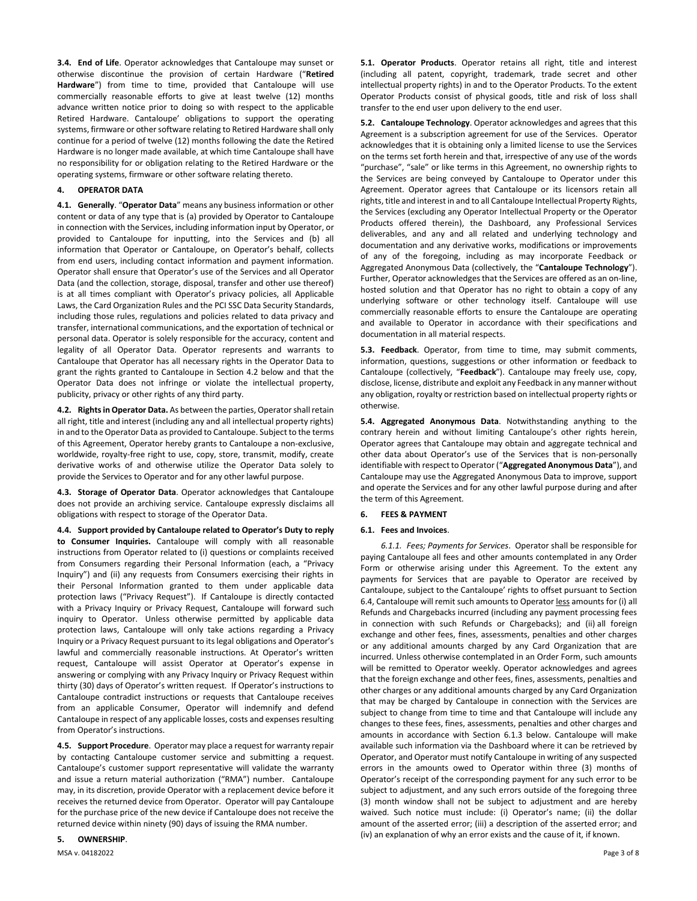**3.4. End of Life**. Operator acknowledges that Cantaloupe may sunset or otherwise discontinue the provision of certain Hardware ("**Retired Hardware**") from time to time, provided that Cantaloupe will use commercially reasonable efforts to give at least twelve (12) months advance written notice prior to doing so with respect to the applicable Retired Hardware. Cantaloupe' obligations to support the operating systems, firmware or other software relating to Retired Hardware shall only continue for a period of twelve (12) months following the date the Retired Hardware is no longer made available, at which time Cantaloupe shall have no responsibility for or obligation relating to the Retired Hardware or the operating systems, firmware or other software relating thereto.

# **4. OPERATOR DATA**

**4.1. Generally**. "**Operator Data**" means any business information or other content or data of any type that is (a) provided by Operator to Cantaloupe in connection with the Services, including information input by Operator, or provided to Cantaloupe for inputting, into the Services and (b) all information that Operator or Cantaloupe, on Operator's behalf, collects from end users, including contact information and payment information. Operator shall ensure that Operator's use of the Services and all Operator Data (and the collection, storage, disposal, transfer and other use thereof) is at all times compliant with Operator's privacy policies, all Applicable Laws, the Card Organization Rules and the PCI SSC Data Security Standards, including those rules, regulations and policies related to data privacy and transfer, international communications, and the exportation of technical or personal data. Operator is solely responsible for the accuracy, content and legality of all Operator Data. Operator represents and warrants to Cantaloupe that Operator has all necessary rights in the Operator Data to grant the rights granted to Cantaloupe in Sectio[n 4.2](#page-2-0) below and that the Operator Data does not infringe or violate the intellectual property, publicity, privacy or other rights of any third party.

<span id="page-2-0"></span>**4.2. Rights in Operator Data.** As between the parties, Operatorshall retain all right, title and interest (including any and all intellectual property rights) in and to the Operator Data as provided to Cantaloupe. Subject to the terms of this Agreement, Operator hereby grants to Cantaloupe a non-exclusive, worldwide, royalty-free right to use, copy, store, transmit, modify, create derivative works of and otherwise utilize the Operator Data solely to provide the Services to Operator and for any other lawful purpose.

<span id="page-2-1"></span>**4.3. Storage of Operator Data**. Operator acknowledges that Cantaloupe does not provide an archiving service. Cantaloupe expressly disclaims all obligations with respect to storage of the Operator Data.

<span id="page-2-2"></span>**4.4. Support provided by Cantaloupe related to Operator's Duty to reply to Consumer Inquiries.** Cantaloupe will comply with all reasonable instructions from Operator related to (i) questions or complaints received from Consumers regarding their Personal Information (each, a "Privacy Inquiry") and (ii) any requests from Consumers exercising their rights in their Personal Information granted to them under applicable data protection laws ("Privacy Request"). If Cantaloupe is directly contacted with a Privacy Inquiry or Privacy Request, Cantaloupe will forward such inquiry to Operator. Unless otherwise permitted by applicable data protection laws, Cantaloupe will only take actions regarding a Privacy Inquiry or a Privacy Request pursuant to its legal obligations and Operator's lawful and commercially reasonable instructions. At Operator's written request, Cantaloupe will assist Operator at Operator's expense in answering or complying with any Privacy Inquiry or Privacy Request within thirty (30) days of Operator's written request. If Operator's instructions to Cantaloupe contradict instructions or requests that Cantaloupe receives from an applicable Consumer, Operator will indemnify and defend Cantaloupe in respect of any applicable losses, costs and expenses resulting from Operator's instructions.

**4.5. Support Procedure**. Operator may place a request for warranty repair by contacting Cantaloupe customer service and submitting a request. Cantaloupe's customer support representative will validate the warranty and issue a return material authorization ("RMA") number. Cantaloupe may, in its discretion, provide Operator with a replacement device before it receives the returned device from Operator. Operator will pay Cantaloupe for the purchase price of the new device if Cantaloupe does not receive the returned device within ninety (90) days of issuing the RMA number.

### **5. OWNERSHIP**.

MSA v. 04182022 Page 3 of 8

**5.1. Operator Products**. Operator retains all right, title and interest (including all patent, copyright, trademark, trade secret and other intellectual property rights) in and to the Operator Products. To the extent Operator Products consist of physical goods, title and risk of loss shall transfer to the end user upon delivery to the end user.

**5.2. Cantaloupe Technology**. Operator acknowledges and agrees that this Agreement is a subscription agreement for use of the Services. Operator acknowledges that it is obtaining only a limited license to use the Services on the terms set forth herein and that, irrespective of any use of the words "purchase", "sale" or like terms in this Agreement, no ownership rights to the Services are being conveyed by Cantaloupe to Operator under this Agreement. Operator agrees that Cantaloupe or its licensors retain all rights, title and interest in and to all Cantaloupe Intellectual Property Rights, the Services (excluding any Operator Intellectual Property or the Operator Products offered therein), the Dashboard, any Professional Services deliverables, and any and all related and underlying technology and documentation and any derivative works, modifications or improvements of any of the foregoing, including as may incorporate Feedback or Aggregated Anonymous Data (collectively, the "**Cantaloupe Technology**"). Further, Operator acknowledges that the Services are offered as an on-line, hosted solution and that Operator has no right to obtain a copy of any underlying software or other technology itself. Cantaloupe will use commercially reasonable efforts to ensure the Cantaloupe are operating and available to Operator in accordance with their specifications and documentation in all material respects.

**5.3. Feedback**. Operator, from time to time, may submit comments, information, questions, suggestions or other information or feedback to Cantaloupe (collectively, "**Feedback**"). Cantaloupe may freely use, copy, disclose, license, distribute and exploit any Feedback in any manner without any obligation, royalty or restriction based on intellectual property rights or otherwise.

**5.4. Aggregated Anonymous Data**. Notwithstanding anything to the contrary herein and without limiting Cantaloupe's other rights herein, Operator agrees that Cantaloupe may obtain and aggregate technical and other data about Operator's use of the Services that is non-personally identifiable with respect to Operator ("**Aggregated Anonymous Data**"), and Cantaloupe may use the Aggregated Anonymous Data to improve, support and operate the Services and for any other lawful purpose during and after the term of this Agreement.

# <span id="page-2-3"></span>**6. FEES & PAYMENT**

#### **6.1. Fees and Invoices**.

*6.1.1. Fees; Payments for Services*. Operator shall be responsible for paying Cantaloupe all fees and other amounts contemplated in any Order Form or otherwise arising under this Agreement. To the extent any payments for Services that are payable to Operator are received by Cantaloupe, subject to the Cantaloupe' rights to offset pursuant to Section 6.4, Cantaloupe will remit such amounts to Operator less amounts for (i) all Refunds and Chargebacks incurred (including any payment processing fees in connection with such Refunds or Chargebacks); and (ii) all foreign exchange and other fees, fines, assessments, penalties and other charges or any additional amounts charged by any Card Organization that are incurred. Unless otherwise contemplated in an Order Form, such amounts will be remitted to Operator weekly. Operator acknowledges and agrees that the foreign exchange and other fees, fines, assessments, penalties and other charges or any additional amounts charged by any Card Organization that may be charged by Cantaloupe in connection with the Services are subject to change from time to time and that Cantaloupe will include any changes to these fees, fines, assessments, penalties and other charges and amounts in accordance with Section [6.1.3](#page-3-1) below. Cantaloupe will make available such information via the Dashboard where it can be retrieved by Operator, and Operator must notify Cantaloupe in writing of any suspected errors in the amounts owed to Operator within three (3) months of Operator's receipt of the corresponding payment for any such error to be subject to adjustment, and any such errors outside of the foregoing three (3) month window shall not be subject to adjustment and are hereby waived. Such notice must include: (i) Operator's name; (ii) the dollar amount of the asserted error; (iii) a description of the asserted error; and (iv) an explanation of why an error exists and the cause of it, if known.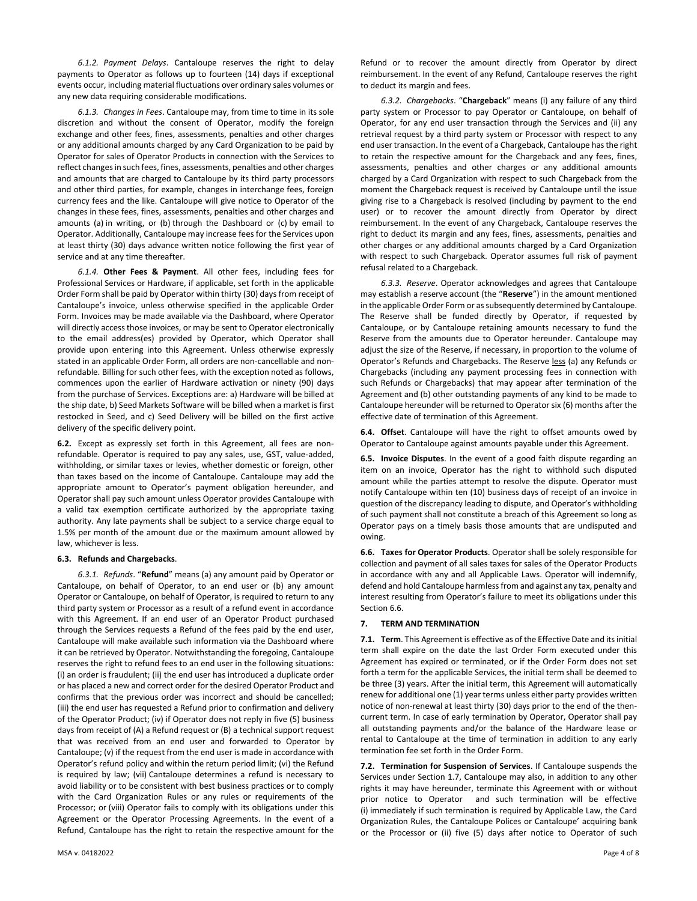*6.1.2. Payment Delays*. Cantaloupe reserves the right to delay payments to Operator as follows up to fourteen (14) days if exceptional events occur, including material fluctuations over ordinary sales volumes or any new data requiring considerable modifications.

<span id="page-3-1"></span>*6.1.3. Changes in Fees*. Cantaloupe may, from time to time in its sole discretion and without the consent of Operator, modify the foreign exchange and other fees, fines, assessments, penalties and other charges or any additional amounts charged by any Card Organization to be paid by Operator for sales of Operator Products in connection with the Services to reflect changes in such fees, fines, assessments, penalties and other charges and amounts that are charged to Cantaloupe by its third party processors and other third parties, for example, changes in interchange fees, foreign currency fees and the like. Cantaloupe will give notice to Operator of the changes in these fees, fines, assessments, penalties and other charges and amounts (a) in writing, or (b) through the Dashboard or (c) by email to Operator. Additionally, Cantaloupe may increase fees for the Services upon at least thirty (30) days advance written notice following the first year of service and at any time thereafter.

*6.1.4.* **Other Fees & Payment**. All other fees, including fees for Professional Services or Hardware, if applicable, set forth in the applicable Order Form shall be paid by Operator within thirty (30) days from receipt of Cantaloupe's invoice, unless otherwise specified in the applicable Order Form. Invoices may be made available via the Dashboard, where Operator will directly access those invoices, or may be sent to Operator electronically to the email address(es) provided by Operator, which Operator shall provide upon entering into this Agreement. Unless otherwise expressly stated in an applicable Order Form, all orders are non-cancellable and nonrefundable. Billing for such other fees, with the exception noted as follows, commences upon the earlier of Hardware activation or ninety (90) days from the purchase of Services. Exceptions are: a) Hardware will be billed at the ship date, b) Seed Markets Software will be billed when a market is first restocked in Seed, and c) Seed Delivery will be billed on the first active delivery of the specific delivery point.

**6.2.** Except as expressly set forth in this Agreement, all fees are nonrefundable. Operator is required to pay any sales, use, GST, value-added, withholding, or similar taxes or levies, whether domestic or foreign, other than taxes based on the income of Cantaloupe. Cantaloupe may add the appropriate amount to Operator's payment obligation hereunder, and Operator shall pay such amount unless Operator provides Cantaloupe with a valid tax exemption certificate authorized by the appropriate taxing authority. Any late payments shall be subject to a service charge equal to 1.5% per month of the amount due or the maximum amount allowed by law, whichever is less.

### **6.3. Refunds and Chargebacks**.

*6.3.1. Refunds*. "**Refund**" means (a) any amount paid by Operator or Cantaloupe, on behalf of Operator, to an end user or (b) any amount Operator or Cantaloupe, on behalf of Operator, is required to return to any third party system or Processor as a result of a refund event in accordance with this Agreement. If an end user of an Operator Product purchased through the Services requests a Refund of the fees paid by the end user, Cantaloupe will make available such information via the Dashboard where it can be retrieved by Operator. Notwithstanding the foregoing, Cantaloupe reserves the right to refund fees to an end user in the following situations: (i) an order is fraudulent; (ii) the end user has introduced a duplicate order or has placed a new and correct order for the desired Operator Product and confirms that the previous order was incorrect and should be cancelled; (iii) the end user has requested a Refund prior to confirmation and delivery of the Operator Product; (iv) if Operator does not reply in five (5) business days from receipt of (A) a Refund request or (B) a technical support request that was received from an end user and forwarded to Operator by Cantaloupe; (v) if the request from the end user is made in accordance with Operator's refund policy and within the return period limit; (vi) the Refund is required by law; (vii) Cantaloupe determines a refund is necessary to avoid liability or to be consistent with best business practices or to comply with the Card Organization Rules or any rules or requirements of the Processor; or (viii) Operator fails to comply with its obligations under this Agreement or the Operator Processing Agreements. In the event of a Refund, Cantaloupe has the right to retain the respective amount for the Refund or to recover the amount directly from Operator by direct reimbursement. In the event of any Refund, Cantaloupe reserves the right to deduct its margin and fees.

*6.3.2. Chargebacks*. "**Chargeback**" means (i) any failure of any third party system or Processor to pay Operator or Cantaloupe, on behalf of Operator, for any end user transaction through the Services and (ii) any retrieval request by a third party system or Processor with respect to any end user transaction. In the event of a Chargeback, Cantaloupe has the right to retain the respective amount for the Chargeback and any fees, fines, assessments, penalties and other charges or any additional amounts charged by a Card Organization with respect to such Chargeback from the moment the Chargeback request is received by Cantaloupe until the issue giving rise to a Chargeback is resolved (including by payment to the end user) or to recover the amount directly from Operator by direct reimbursement. In the event of any Chargeback, Cantaloupe reserves the right to deduct its margin and any fees, fines, assessments, penalties and other charges or any additional amounts charged by a Card Organization with respect to such Chargeback. Operator assumes full risk of payment refusal related to a Chargeback.

*6.3.3. Reserve*. Operator acknowledges and agrees that Cantaloupe may establish a reserve account (the "**Reserve**") in the amount mentioned in the applicable Order Form or as subsequently determined by Cantaloupe. The Reserve shall be funded directly by Operator, if requested by Cantaloupe, or by Cantaloupe retaining amounts necessary to fund the Reserve from the amounts due to Operator hereunder. Cantaloupe may adjust the size of the Reserve, if necessary, in proportion to the volume of Operator's Refunds and Chargebacks. The Reserve less (a) any Refunds or Chargebacks (including any payment processing fees in connection with such Refunds or Chargebacks) that may appear after termination of the Agreement and (b) other outstanding payments of any kind to be made to Cantaloupe hereunder will be returned to Operator six (6) months after the effective date of termination of this Agreement.

**6.4. Offset**. Cantaloupe will have the right to offset amounts owed by Operator to Cantaloupe against amounts payable under this Agreement.

**6.5. Invoice Disputes**. In the event of a good faith dispute regarding an item on an invoice, Operator has the right to withhold such disputed amount while the parties attempt to resolve the dispute. Operator must notify Cantaloupe within ten (10) business days of receipt of an invoice in question of the discrepancy leading to dispute, and Operator's withholding of such payment shall not constitute a breach of this Agreement so long as Operator pays on a timely basis those amounts that are undisputed and owing.

<span id="page-3-2"></span>**6.6. Taxes for Operator Products**. Operator shall be solely responsible for collection and payment of all sales taxes for sales of the Operator Products in accordance with any and all Applicable Laws. Operator will indemnify, defend and hold Cantaloupe harmless from and against any tax, penalty and interest resulting from Operator's failure to meet its obligations under this Sectio[n 6.6.](#page-3-2) 

#### <span id="page-3-3"></span>**7. TERM AND TERMINATION**

**7.1. Term**. This Agreement is effective as of the Effective Date and its initial term shall expire on the date the last Order Form executed under this Agreement has expired or terminated, or if the Order Form does not set forth a term for the applicable Services, the initial term shall be deemed to be three (3) years. After the initial term, this Agreement will automatically renew for additional one (1) year terms unless either party provides written notice of non-renewal at least thirty (30) days prior to the end of the thencurrent term. In case of early termination by Operator, Operator shall pay all outstanding payments and/or the balance of the Hardware lease or rental to Cantaloupe at the time of termination in addition to any early termination fee set forth in the Order Form.

<span id="page-3-0"></span>**7.2. Termination for Suspension of Services**. If Cantaloupe suspends the Services under Section 1.7, Cantaloupe may also, in addition to any other rights it may have hereunder, terminate this Agreement with or without prior notice to Operator and such termination will be effective (i) immediately if such termination is required by Applicable Law, the Card Organization Rules, the Cantaloupe Polices or Cantaloupe' acquiring bank or the Processor or (ii) five (5) days after notice to Operator of such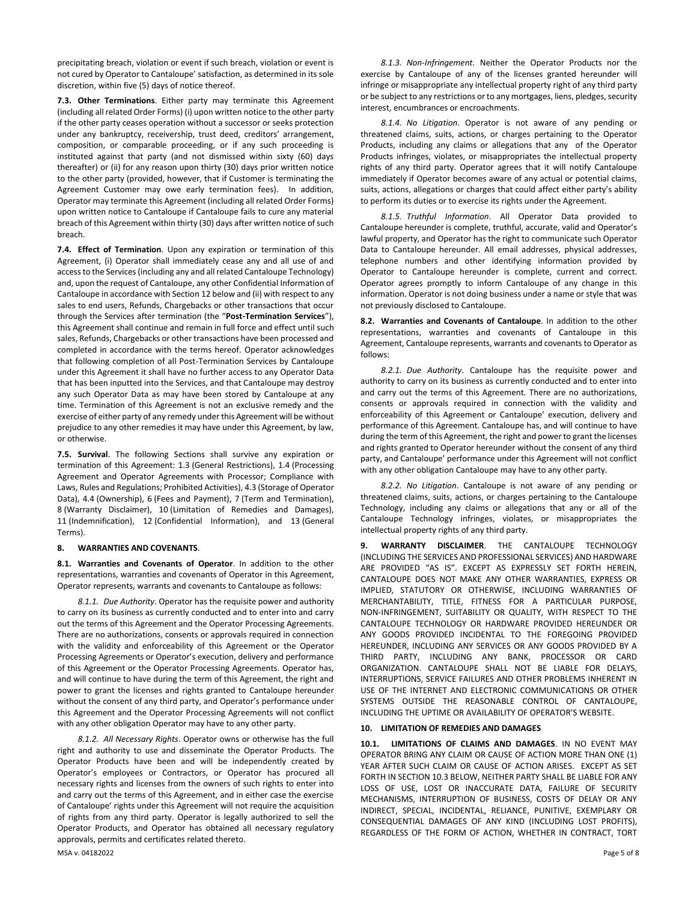precipitating breach, violation or event if such breach, violation or event is not cured by Operator to Cantaloupe' satisfaction, as determined in its sole discretion, within five (5) days of notice thereof.

**7.3. Other Terminations**. Either party may terminate this Agreement (including all related Order Forms) (i) upon written notice to the other party if the other party ceases operation without a successor or seeks protection under any bankruptcy, receivership, trust deed, creditors' arrangement, composition, or comparable proceeding, or if any such proceeding is instituted against that party (and not dismissed within sixty (60) days thereafter) or (ii) for any reason upon thirty (30) days prior written notice to the other party (provided, however, that if Customer is terminating the Agreement Customer may owe early termination fees). In addition, Operator may terminate this Agreement (including all related Order Forms) upon written notice to Cantaloupe if Cantaloupe fails to cure any material breach of this Agreement within thirty (30) days after written notice of such breach.

**7.4. Effect of Termination**. Upon any expiration or termination of this Agreement, (i) Operator shall immediately cease any and all use of and access to the Services(including any and all related Cantaloupe Technology) and, upon the request of Cantaloupe, any other Confidential Information of Cantaloupe in accordance with Sectio[n 12](#page-5-0) below and (ii) with respect to any sales to end users, Refunds, Chargebacks or other transactions that occur through the Services after termination (the "**Post-Termination Services**"), this Agreement shall continue and remain in full force and effect until such sales, Refunds, Chargebacks or other transactions have been processed and completed in accordance with the terms hereof. Operator acknowledges that following completion of all Post-Termination Services by Cantaloupe under this Agreement it shall have no further access to any Operator Data that has been inputted into the Services, and that Cantaloupe may destroy any such Operator Data as may have been stored by Cantaloupe at any time. Termination of this Agreement is not an exclusive remedy and the exercise of either party of any remedy under this Agreement will be without prejudice to any other remedies it may have under this Agreement, by law, or otherwise.

**7.5. Survival**. The following Sections shall survive any expiration or termination of this Agreement: [1.3](#page-0-0) (General Restrictions), [1.4](#page-0-1) (Processing Agreement and Operator Agreements with Processor; Compliance with Laws, Rules and Regulations; Prohibited Activities)[, 4.3](#page-2-1) (Storage of Operator Data), [4.4](#page-2-2) (Ownership), [6](#page-2-3) (Fees and Payment), [7](#page-3-3) (Term and Termination), [8](#page-4-0) (Warranty Disclaimer), [10](#page-4-1) (Limitation of Remedies and Damages), [11](#page-5-1) (Indemnification), [12](#page-5-0) (Confidential Information), and [13](#page-5-2) (General Terms).

## <span id="page-4-0"></span>**8. WARRANTIES AND COVENANTS**.

**8.1. Warranties and Covenants of Operator**. In addition to the other representations, warranties and covenants of Operator in this Agreement, Operator represents, warrants and covenants to Cantaloupe as follows:

*8.1.1. Due Authority*. Operator has the requisite power and authority to carry on its business as currently conducted and to enter into and carry out the terms of this Agreement and the Operator Processing Agreements. There are no authorizations, consents or approvals required in connection with the validity and enforceability of this Agreement or the Operator Processing Agreements or Operator's execution, delivery and performance of this Agreement or the Operator Processing Agreements. Operator has, and will continue to have during the term of this Agreement, the right and power to grant the licenses and rights granted to Cantaloupe hereunder without the consent of any third party, and Operator's performance under this Agreement and the Operator Processing Agreements will not conflict with any other obligation Operator may have to any other party.

*8.1.2. All Necessary Rights*. Operator owns or otherwise has the full right and authority to use and disseminate the Operator Products. The Operator Products have been and will be independently created by Operator's employees or Contractors, or Operator has procured all necessary rights and licenses from the owners of such rights to enter into and carry out the terms of this Agreement, and in either case the exercise of Cantaloupe' rights under this Agreement will not require the acquisition of rights from any third party. Operator is legally authorized to sell the Operator Products, and Operator has obtained all necessary regulatory approvals, permits and certificates related thereto.

*8.1.3. Non-Infringement*. Neither the Operator Products nor the exercise by Cantaloupe of any of the licenses granted hereunder will infringe or misappropriate any intellectual property right of any third party or be subject to any restrictions or to any mortgages, liens, pledges, security interest, encumbrances or encroachments.

*8.1.4. No Litigation*. Operator is not aware of any pending or threatened claims, suits, actions, or charges pertaining to the Operator Products, including any claims or allegations that any of the Operator Products infringes, violates, or misappropriates the intellectual property rights of any third party. Operator agrees that it will notify Cantaloupe immediately if Operator becomes aware of any actual or potential claims, suits, actions, allegations or charges that could affect either party's ability to perform its duties or to exercise its rights under the Agreement.

*8.1.5. Truthful Information*. All Operator Data provided to Cantaloupe hereunder is complete, truthful, accurate, valid and Operator's lawful property, and Operator has the right to communicate such Operator Data to Cantaloupe hereunder. All email addresses, physical addresses, telephone numbers and other identifying information provided by Operator to Cantaloupe hereunder is complete, current and correct. Operator agrees promptly to inform Cantaloupe of any change in this information. Operator is not doing business under a name or style that was not previously disclosed to Cantaloupe.

**8.2. Warranties and Covenants of Cantaloupe**. In addition to the other representations, warranties and covenants of Cantaloupe in this Agreement, Cantaloupe represents, warrants and covenants to Operator as follows:

*8.2.1. Due Authority*. Cantaloupe has the requisite power and authority to carry on its business as currently conducted and to enter into and carry out the terms of this Agreement. There are no authorizations, consents or approvals required in connection with the validity and enforceability of this Agreement or Cantaloupe' execution, delivery and performance of this Agreement. Cantaloupe has, and will continue to have during the term of this Agreement, the right and power to grant the licenses and rights granted to Operator hereunder without the consent of any third party, and Cantaloupe' performance under this Agreement will not conflict with any other obligation Cantaloupe may have to any other party.

*8.2.2. No Litigation*. Cantaloupe is not aware of any pending or threatened claims, suits, actions, or charges pertaining to the Cantaloupe Technology, including any claims or allegations that any or all of the Cantaloupe Technology infringes, violates, or misappropriates the intellectual property rights of any third party.

**9. WARRANTY DISCLAIMER**. THE CANTALOUPE TECHNOLOGY (INCLUDING THE SERVICES AND PROFESSIONAL SERVICES) AND HARDWARE ARE PROVIDED "AS IS". EXCEPT AS EXPRESSLY SET FORTH HEREIN, CANTALOUPE DOES NOT MAKE ANY OTHER WARRANTIES, EXPRESS OR IMPLIED, STATUTORY OR OTHERWISE, INCLUDING WARRANTIES OF MERCHANTABILITY, TITLE, FITNESS FOR A PARTICULAR PURPOSE, NON-INFRINGEMENT, SUITABILITY OR QUALITY, WITH RESPECT TO THE CANTALOUPE TECHNOLOGY OR HARDWARE PROVIDED HEREUNDER OR ANY GOODS PROVIDED INCIDENTAL TO THE FOREGOING PROVIDED HEREUNDER, INCLUDING ANY SERVICES OR ANY GOODS PROVIDED BY A THIRD PARTY, INCLUDING ANY BANK, PROCESSOR OR CARD ORGANIZATION. CANTALOUPE SHALL NOT BE LIABLE FOR DELAYS, INTERRUPTIONS, SERVICE FAILURES AND OTHER PROBLEMS INHERENT IN USE OF THE INTERNET AND ELECTRONIC COMMUNICATIONS OR OTHER SYSTEMS OUTSIDE THE REASONABLE CONTROL OF CANTALOUPE, INCLUDING THE UPTIME OR AVAILABILITY OF OPERATOR'S WEBSITE.

## <span id="page-4-1"></span>**10. LIMITATION OF REMEDIES AND DAMAGES**

**10.1. LIMITATIONS OF CLAIMS AND DAMAGES**. IN NO EVENT MAY OPERATOR BRING ANY CLAIM OR CAUSE OF ACTION MORE THAN ONE (1) YEAR AFTER SUCH CLAIM OR CAUSE OF ACTION ARISES. EXCEPT AS SET FORTH IN SECTIO[N 10.3](#page-5-3) BELOW, NEITHER PARTY SHALL BE LIABLE FOR ANY LOSS OF USE, LOST OR INACCURATE DATA, FAILURE OF SECURITY MECHANISMS, INTERRUPTION OF BUSINESS, COSTS OF DELAY OR ANY INDIRECT, SPECIAL, INCIDENTAL, RELIANCE, PUNITIVE, EXEMPLARY OR CONSEQUENTIAL DAMAGES OF ANY KIND (INCLUDING LOST PROFITS), REGARDLESS OF THE FORM OF ACTION, WHETHER IN CONTRACT, TORT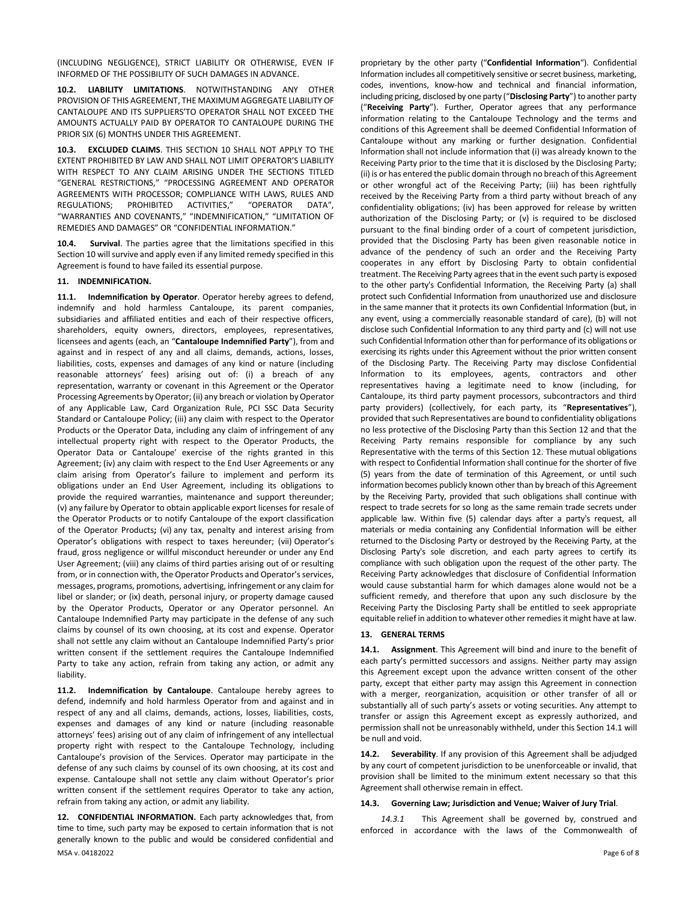(INCLUDING NEGLIGENCE), STRICT LIABILITY OR OTHERWISE, EVEN IF INFORMED OF THE POSSIBILITY OF SUCH DAMAGES IN ADVANCE.

**10.2. LIABILITY LIMITATIONS**. NOTWITHSTANDING ANY OTHER PROVISION OF THIS AGREEMENT, THE MAXIMUM AGGREGATE LIABILITY OF CANTALOUPE AND ITS SUPPLIERS'TO OPERATOR SHALL NOT EXCEED THE AMOUNTS ACTUALLY PAID BY OPERATOR TO CANTALOUPE DURING THE PRIOR SIX (6) MONTHS UNDER THIS AGREEMENT.

<span id="page-5-3"></span>**10.3. EXCLUDED CLAIMS**. THIS SECTION [10](#page-4-1) SHALL NOT APPLY TO THE EXTENT PROHIBITED BY LAW AND SHALL NOT LIMIT OPERATOR'S LIABILITY WITH RESPECT TO ANY CLAIM ARISING UNDER THE SECTIONS TITLED "GENERAL RESTRICTIONS," "PROCESSING AGREEMENT AND OPERATOR AGREEMENTS WITH PROCESSOR; COMPLIANCE WITH LAWS, RULES AND REGULATIONS; PROHIBITED ACTIVITIES," "OPERATOR DATA", "WARRANTIES AND COVENANTS," "INDEMNIFICATION," "LIMITATION OF REMEDIES AND DAMAGES" OR "CONFIDENTIAL INFORMATION."

**10.4. Survival**. The parties agree that the limitations specified in this Sectio[n 10](#page-4-1) will survive and apply even if any limited remedy specified in this Agreement is found to have failed its essential purpose.

## <span id="page-5-1"></span>**11. INDEMNIFICATION.**

**11.1. Indemnification by Operator**. Operator hereby agrees to defend, indemnify and hold harmless Cantaloupe, its parent companies, subsidiaries and affiliated entities and each of their respective officers, shareholders, equity owners, directors, employees, representatives, licensees and agents (each, an "**Cantaloupe Indemnified Party**"), from and against and in respect of any and all claims, demands, actions, losses, liabilities, costs, expenses and damages of any kind or nature (including reasonable attorneys' fees) arising out of: (i) a breach of any representation, warranty or covenant in this Agreement or the Operator Processing Agreements by Operator; (ii) any breach or violation by Operator of any Applicable Law, Card Organization Rule, PCI SSC Data Security Standard or Cantaloupe Policy; (iii) any claim with respect to the Operator Products or the Operator Data, including any claim of infringement of any intellectual property right with respect to the Operator Products, the Operator Data or Cantaloupe' exercise of the rights granted in this Agreement; (iv) any claim with respect to the End User Agreements or any claim arising from Operator's failure to implement and perform its obligations under an End User Agreement, including its obligations to provide the required warranties, maintenance and support thereunder; (v) any failure by Operator to obtain applicable export licenses for resale of the Operator Products or to notify Cantaloupe of the export classification of the Operator Products**;** (vi) any tax, penalty and interest arising from Operator's obligations with respect to taxes hereunder; (vii) Operator's fraud, gross negligence or willful misconduct hereunder or under any End User Agreement; (viii) any claims of third parties arising out of or resulting from, or in connection with, the Operator Products and Operator's services, messages, programs, promotions, advertising, infringement or any claim for libel or slander; or (ix) death, personal injury, or property damage caused by the Operator Products, Operator or any Operator personnel. An Cantaloupe Indemnified Party may participate in the defense of any such claims by counsel of its own choosing, at its cost and expense. Operator shall not settle any claim without an Cantaloupe Indemnified Party's prior written consent if the settlement requires the Cantaloupe Indemnified Party to take any action, refrain from taking any action, or admit any liability.

**11.2. Indemnification by Cantaloupe**. Cantaloupe hereby agrees to defend, indemnify and hold harmless Operator from and against and in respect of any and all claims, demands, actions, losses, liabilities, costs, expenses and damages of any kind or nature (including reasonable attorneys' fees) arising out of any claim of infringement of any intellectual property right with respect to the Cantaloupe Technology, including Cantaloupe's provision of the Services. Operator may participate in the defense of any such claims by counsel of its own choosing, at its cost and expense. Cantaloupe shall not settle any claim without Operator's prior written consent if the settlement requires Operator to take any action, refrain from taking any action, or admit any liability.

<span id="page-5-0"></span>MSA v. 04182022 Page 6 of 8 **12. CONFIDENTIAL INFORMATION.** Each party acknowledges that, from time to time, such party may be exposed to certain information that is not generally known to the public and would be considered confidential and

proprietary by the other party ("**Confidential Information**"). Confidential Information includes all competitively sensitive or secret business, marketing, codes, inventions, know-how and technical and financial information, including pricing, disclosed by one party ("**Disclosing Party**") to another party ("**Receiving Party**"). Further, Operator agrees that any performance information relating to the Cantaloupe Technology and the terms and conditions of this Agreement shall be deemed Confidential Information of Cantaloupe without any marking or further designation. Confidential Information shall not include information that (i) was already known to the Receiving Party prior to the time that it is disclosed by the Disclosing Party; (ii) is or has entered the public domain through no breach of this Agreement or other wrongful act of the Receiving Party; (iii) has been rightfully received by the Receiving Party from a third party without breach of any confidentiality obligations; (iv) has been approved for release by written authorization of the Disclosing Party; or (v) is required to be disclosed pursuant to the final binding order of a court of competent jurisdiction, provided that the Disclosing Party has been given reasonable notice in advance of the pendency of such an order and the Receiving Party cooperates in any effort by Disclosing Party to obtain confidential treatment. The Receiving Party agrees that in the event such party is exposed to the other party's Confidential Information, the Receiving Party (a) shall protect such Confidential Information from unauthorized use and disclosure in the same manner that it protects its own Confidential Information (but, in any event, using a commercially reasonable standard of care), (b) will not disclose such Confidential Information to any third party and (c) will not use such Confidential Information other than for performance of its obligations or exercising its rights under this Agreement without the prior written consent of the Disclosing Party. The Receiving Party may disclose Confidential Information to its employees, agents, contractors and other representatives having a legitimate need to know (including, for Cantaloupe, its third party payment processors, subcontractors and third party providers) (collectively, for each party, its "**Representatives**"), provided that such Representatives are bound to confidentiality obligations no less protective of the Disclosing Party than this Sectio[n 12](#page-5-0) and that the Receiving Party remains responsible for compliance by any such Representative with the terms of this Sectio[n 12.](#page-5-0) These mutual obligations with respect to Confidential Information shall continue for the shorter of five (5) years from the date of termination of this Agreement, or until such information becomes publicly known other than by breach of this Agreement by the Receiving Party, provided that such obligations shall continue with respect to trade secrets for so long as the same remain trade secrets under applicable law. Within five (5) calendar days after a party's request, all materials or media containing any Confidential Information will be either returned to the Disclosing Party or destroyed by the Receiving Party, at the Disclosing Party's sole discretion, and each party agrees to certify its compliance with such obligation upon the request of the other party. The Receiving Party acknowledges that disclosure of Confidential Information would cause substantial harm for which damages alone would not be a sufficient remedy, and therefore that upon any such disclosure by the Receiving Party the Disclosing Party shall be entitled to seek appropriate equitable relief in addition to whatever other remedies it might have at law.

### <span id="page-5-2"></span>**13. GENERAL TERMS**

<span id="page-5-4"></span>**14.1. Assignment**. This Agreement will bind and inure to the benefit of each party's permitted successors and assigns. Neither party may assign this Agreement except upon the advance written consent of the other party, except that either party may assign this Agreement in connection with a merger, reorganization, acquisition or other transfer of all or substantially all of such party's assets or voting securities. Any attempt to transfer or assign this Agreement except as expressly authorized, and permission shall not be unreasonably withheld, under this Sectio[n 14.1](#page-5-4) will be null and void.

**14.2. Severability**. If any provision of this Agreement shall be adjudged by any court of competent jurisdiction to be unenforceable or invalid, that provision shall be limited to the minimum extent necessary so that this Agreement shall otherwise remain in effect.

#### **14.3. Governing Law; Jurisdiction and Venue; Waiver of Jury Trial**.

*14.3.1* This Agreement shall be governed by, construed and enforced in accordance with the laws of the Commonwealth of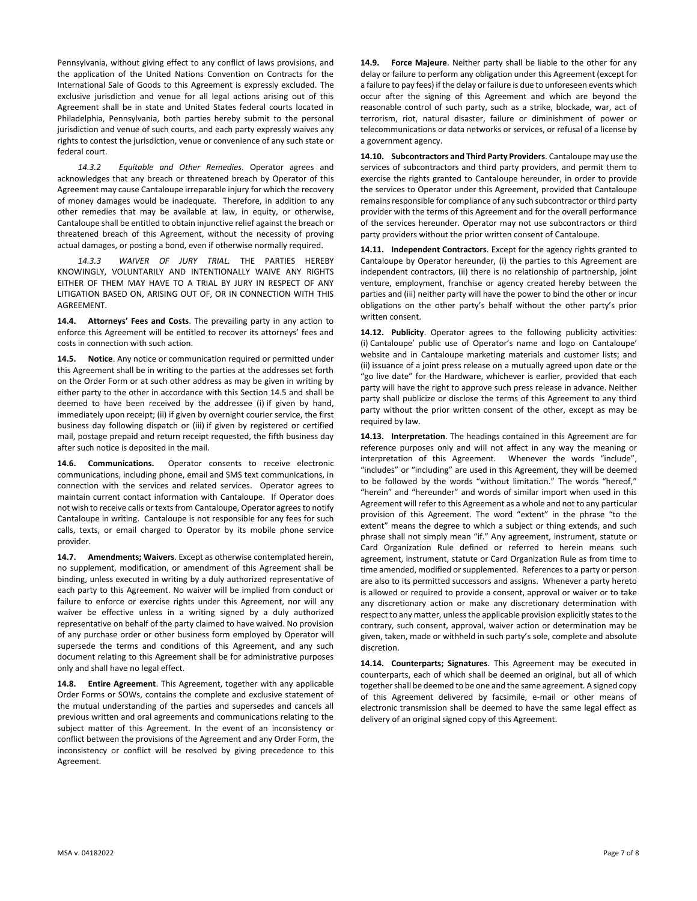Pennsylvania, without giving effect to any conflict of laws provisions, and the application of the United Nations Convention on Contracts for the International Sale of Goods to this Agreement is expressly excluded. The exclusive jurisdiction and venue for all legal actions arising out of this Agreement shall be in state and United States federal courts located in Philadelphia, Pennsylvania, both parties hereby submit to the personal jurisdiction and venue of such courts, and each party expressly waives any rights to contest the jurisdiction, venue or convenience of any such state or federal court.

*14.3.2 Equitable and Other Remedies.* Operator agrees and acknowledges that any breach or threatened breach by Operator of this Agreement may cause Cantaloupe irreparable injury for which the recovery of money damages would be inadequate. Therefore, in addition to any other remedies that may be available at law, in equity, or otherwise, Cantaloupe shall be entitled to obtain injunctive relief against the breach or threatened breach of this Agreement, without the necessity of proving actual damages, or posting a bond, even if otherwise normally required.

*14.3.3 WAIVER OF JURY TRIAL.* THE PARTIES HEREBY KNOWINGLY, VOLUNTARILY AND INTENTIONALLY WAIVE ANY RIGHTS EITHER OF THEM MAY HAVE TO A TRIAL BY JURY IN RESPECT OF ANY LITIGATION BASED ON, ARISING OUT OF, OR IN CONNECTION WITH THIS AGREEMENT.

**14.4. Attorneys' Fees and Costs**. The prevailing party in any action to enforce this Agreement will be entitled to recover its attorneys' fees and costs in connection with such action.

<span id="page-6-0"></span>**14.5. Notice**. Any notice or communication required or permitted under this Agreement shall be in writing to the parties at the addresses set forth on the Order Form or at such other address as may be given in writing by either party to the other in accordance with this Sectio[n 14.5](#page-6-0) and shall be deemed to have been received by the addressee (i) if given by hand, immediately upon receipt; (ii) if given by overnight courier service, the first business day following dispatch or (iii) if given by registered or certified mail, postage prepaid and return receipt requested, the fifth business day after such notice is deposited in the mail.

**14.6. Communications.** Operator consents to receive electronic communications, including phone, email and SMS text communications, in connection with the services and related services. Operator agrees to maintain current contact information with Cantaloupe. If Operator does not wish to receive calls or texts from Cantaloupe, Operator agrees to notify Cantaloupe in writing. Cantaloupe is not responsible for any fees for such calls, texts, or email charged to Operator by its mobile phone service provider.

**14.7. Amendments; Waivers**. Except as otherwise contemplated herein, no supplement, modification, or amendment of this Agreement shall be binding, unless executed in writing by a duly authorized representative of each party to this Agreement. No waiver will be implied from conduct or failure to enforce or exercise rights under this Agreement, nor will any waiver be effective unless in a writing signed by a duly authorized representative on behalf of the party claimed to have waived. No provision of any purchase order or other business form employed by Operator will supersede the terms and conditions of this Agreement, and any such document relating to this Agreement shall be for administrative purposes only and shall have no legal effect.

**14.8. Entire Agreement**. This Agreement, together with any applicable Order Forms or SOWs, contains the complete and exclusive statement of the mutual understanding of the parties and supersedes and cancels all previous written and oral agreements and communications relating to the subject matter of this Agreement. In the event of an inconsistency or conflict between the provisions of the Agreement and any Order Form, the inconsistency or conflict will be resolved by giving precedence to this Agreement.

**14.9. Force Majeure**. Neither party shall be liable to the other for any delay or failure to perform any obligation under this Agreement (except for a failure to pay fees) if the delay or failure is due to unforeseen events which occur after the signing of this Agreement and which are beyond the reasonable control of such party, such as a strike, blockade, war, act of terrorism, riot, natural disaster, failure or diminishment of power or telecommunications or data networks or services, or refusal of a license by a government agency.

**14.10. Subcontractors and Third Party Providers**. Cantaloupe may use the services of subcontractors and third party providers, and permit them to exercise the rights granted to Cantaloupe hereunder, in order to provide the services to Operator under this Agreement, provided that Cantaloupe remains responsible for compliance of any such subcontractor or third party provider with the terms of this Agreement and for the overall performance of the services hereunder. Operator may not use subcontractors or third party providers without the prior written consent of Cantaloupe.

**14.11. Independent Contractors**. Except for the agency rights granted to Cantaloupe by Operator hereunder, (i) the parties to this Agreement are independent contractors, (ii) there is no relationship of partnership, joint venture, employment, franchise or agency created hereby between the parties and (iii) neither party will have the power to bind the other or incur obligations on the other party's behalf without the other party's prior written consent.

**14.12. Publicity**. Operator agrees to the following publicity activities: (i) Cantaloupe' public use of Operator's name and logo on Cantaloupe' website and in Cantaloupe marketing materials and customer lists; and (ii) issuance of a joint press release on a mutually agreed upon date or the "go live date" for the Hardware, whichever is earlier, provided that each party will have the right to approve such press release in advance. Neither party shall publicize or disclose the terms of this Agreement to any third party without the prior written consent of the other, except as may be required by law.

**14.13. Interpretation**. The headings contained in this Agreement are for reference purposes only and will not affect in any way the meaning or interpretation of this Agreement. Whenever the words "include", "includes" or "including" are used in this Agreement, they will be deemed to be followed by the words "without limitation." The words "hereof," "herein" and "hereunder" and words of similar import when used in this Agreement will refer to this Agreement as a whole and not to any particular provision of this Agreement. The word "extent" in the phrase "to the extent" means the degree to which a subject or thing extends, and such phrase shall not simply mean "if." Any agreement, instrument, statute or Card Organization Rule defined or referred to herein means such agreement, instrument, statute or Card Organization Rule as from time to time amended, modified or supplemented. References to a party or person are also to its permitted successors and assigns. Whenever a party hereto is allowed or required to provide a consent, approval or waiver or to take any discretionary action or make any discretionary determination with respect to any matter, unless the applicable provision explicitly states to the contrary, such consent, approval, waiver action or determination may be given, taken, made or withheld in such party's sole, complete and absolute discretion.

**14.14. Counterparts; Signatures**. This Agreement may be executed in counterparts, each of which shall be deemed an original, but all of which together shall be deemed to be one and the same agreement. A signed copy of this Agreement delivered by facsimile, e-mail or other means of electronic transmission shall be deemed to have the same legal effect as delivery of an original signed copy of this Agreement.